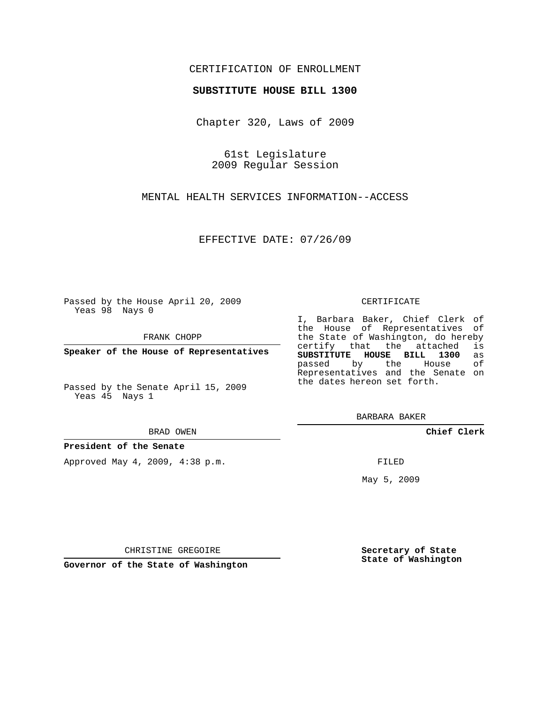### CERTIFICATION OF ENROLLMENT

### **SUBSTITUTE HOUSE BILL 1300**

Chapter 320, Laws of 2009

61st Legislature 2009 Regular Session

MENTAL HEALTH SERVICES INFORMATION--ACCESS

EFFECTIVE DATE: 07/26/09

Passed by the House April 20, 2009 Yeas 98 Nays 0

FRANK CHOPP

**Speaker of the House of Representatives**

Passed by the Senate April 15, 2009 Yeas 45 Nays 1

#### BRAD OWEN

### **President of the Senate**

Approved May 4, 2009, 4:38 p.m.

#### CERTIFICATE

I, Barbara Baker, Chief Clerk of the House of Representatives of the State of Washington, do hereby<br>certify that the attached is certify that the attached **SUBSTITUTE HOUSE BILL 1300** as passed by the House of Representatives and the Senate on the dates hereon set forth.

BARBARA BAKER

**Chief Clerk**

FILED

May 5, 2009

**Secretary of State State of Washington**

CHRISTINE GREGOIRE

**Governor of the State of Washington**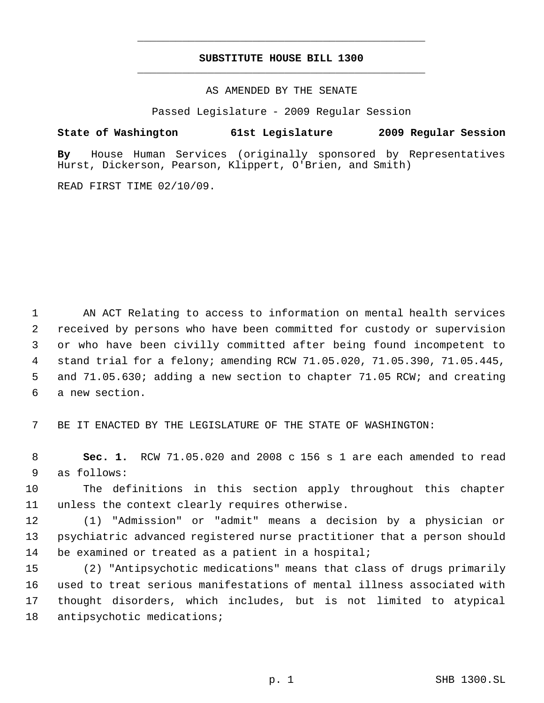## **SUBSTITUTE HOUSE BILL 1300** \_\_\_\_\_\_\_\_\_\_\_\_\_\_\_\_\_\_\_\_\_\_\_\_\_\_\_\_\_\_\_\_\_\_\_\_\_\_\_\_\_\_\_\_\_

\_\_\_\_\_\_\_\_\_\_\_\_\_\_\_\_\_\_\_\_\_\_\_\_\_\_\_\_\_\_\_\_\_\_\_\_\_\_\_\_\_\_\_\_\_

AS AMENDED BY THE SENATE

Passed Legislature - 2009 Regular Session

**State of Washington 61st Legislature 2009 Regular Session**

**By** House Human Services (originally sponsored by Representatives Hurst, Dickerson, Pearson, Klippert, O'Brien, and Smith)

READ FIRST TIME 02/10/09.

 AN ACT Relating to access to information on mental health services received by persons who have been committed for custody or supervision or who have been civilly committed after being found incompetent to stand trial for a felony; amending RCW 71.05.020, 71.05.390, 71.05.445, and 71.05.630; adding a new section to chapter 71.05 RCW; and creating a new section.

BE IT ENACTED BY THE LEGISLATURE OF THE STATE OF WASHINGTON:

 **Sec. 1.** RCW 71.05.020 and 2008 c 156 s 1 are each amended to read as follows:

 The definitions in this section apply throughout this chapter unless the context clearly requires otherwise.

 (1) "Admission" or "admit" means a decision by a physician or psychiatric advanced registered nurse practitioner that a person should be examined or treated as a patient in a hospital;

 (2) "Antipsychotic medications" means that class of drugs primarily used to treat serious manifestations of mental illness associated with thought disorders, which includes, but is not limited to atypical antipsychotic medications;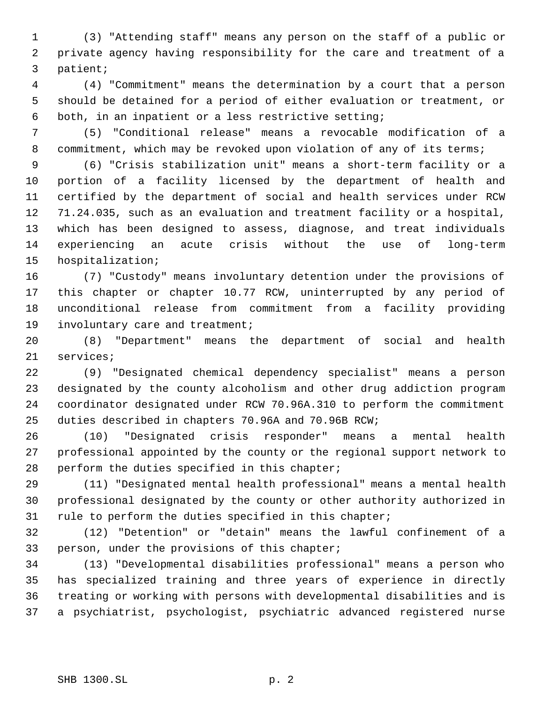(3) "Attending staff" means any person on the staff of a public or private agency having responsibility for the care and treatment of a patient;

 (4) "Commitment" means the determination by a court that a person should be detained for a period of either evaluation or treatment, or both, in an inpatient or a less restrictive setting;

 (5) "Conditional release" means a revocable modification of a 8 commitment, which may be revoked upon violation of any of its terms;

 (6) "Crisis stabilization unit" means a short-term facility or a portion of a facility licensed by the department of health and certified by the department of social and health services under RCW 71.24.035, such as an evaluation and treatment facility or a hospital, which has been designed to assess, diagnose, and treat individuals experiencing an acute crisis without the use of long-term hospitalization;

 (7) "Custody" means involuntary detention under the provisions of this chapter or chapter 10.77 RCW, uninterrupted by any period of unconditional release from commitment from a facility providing involuntary care and treatment;

 (8) "Department" means the department of social and health services;

 (9) "Designated chemical dependency specialist" means a person designated by the county alcoholism and other drug addiction program coordinator designated under RCW 70.96A.310 to perform the commitment duties described in chapters 70.96A and 70.96B RCW;

 (10) "Designated crisis responder" means a mental health professional appointed by the county or the regional support network to perform the duties specified in this chapter;

 (11) "Designated mental health professional" means a mental health professional designated by the county or other authority authorized in rule to perform the duties specified in this chapter;

 (12) "Detention" or "detain" means the lawful confinement of a person, under the provisions of this chapter;

 (13) "Developmental disabilities professional" means a person who has specialized training and three years of experience in directly treating or working with persons with developmental disabilities and is a psychiatrist, psychologist, psychiatric advanced registered nurse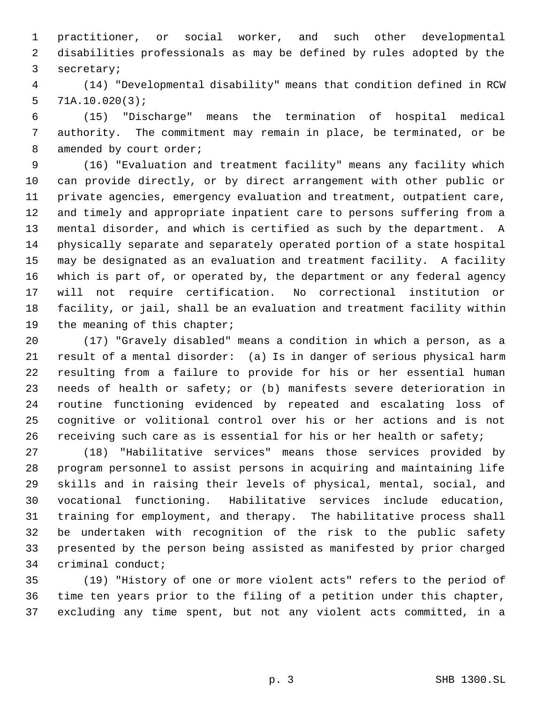practitioner, or social worker, and such other developmental disabilities professionals as may be defined by rules adopted by the secretary;

 (14) "Developmental disability" means that condition defined in RCW 71A.10.020(3);

 (15) "Discharge" means the termination of hospital medical authority. The commitment may remain in place, be terminated, or be 8 amended by court order;

 (16) "Evaluation and treatment facility" means any facility which can provide directly, or by direct arrangement with other public or private agencies, emergency evaluation and treatment, outpatient care, and timely and appropriate inpatient care to persons suffering from a mental disorder, and which is certified as such by the department. A physically separate and separately operated portion of a state hospital may be designated as an evaluation and treatment facility. A facility which is part of, or operated by, the department or any federal agency will not require certification. No correctional institution or facility, or jail, shall be an evaluation and treatment facility within 19 the meaning of this chapter;

 (17) "Gravely disabled" means a condition in which a person, as a result of a mental disorder: (a) Is in danger of serious physical harm resulting from a failure to provide for his or her essential human needs of health or safety; or (b) manifests severe deterioration in routine functioning evidenced by repeated and escalating loss of cognitive or volitional control over his or her actions and is not 26 receiving such care as is essential for his or her health or safety;

 (18) "Habilitative services" means those services provided by program personnel to assist persons in acquiring and maintaining life skills and in raising their levels of physical, mental, social, and vocational functioning. Habilitative services include education, training for employment, and therapy. The habilitative process shall be undertaken with recognition of the risk to the public safety presented by the person being assisted as manifested by prior charged criminal conduct;

 (19) "History of one or more violent acts" refers to the period of time ten years prior to the filing of a petition under this chapter, excluding any time spent, but not any violent acts committed, in a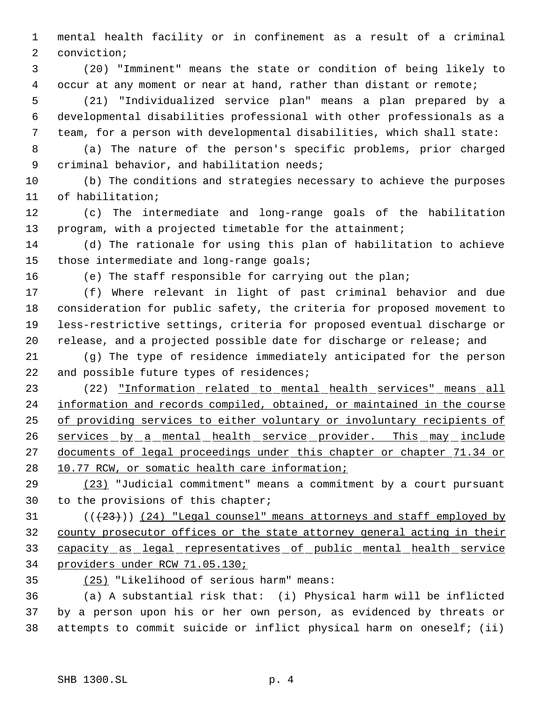mental health facility or in confinement as a result of a criminal conviction;

 (20) "Imminent" means the state or condition of being likely to occur at any moment or near at hand, rather than distant or remote;

 (21) "Individualized service plan" means a plan prepared by a developmental disabilities professional with other professionals as a team, for a person with developmental disabilities, which shall state:

 (a) The nature of the person's specific problems, prior charged criminal behavior, and habilitation needs;

 (b) The conditions and strategies necessary to achieve the purposes of habilitation;

 (c) The intermediate and long-range goals of the habilitation program, with a projected timetable for the attainment;

 (d) The rationale for using this plan of habilitation to achieve those intermediate and long-range goals;

(e) The staff responsible for carrying out the plan;

 (f) Where relevant in light of past criminal behavior and due consideration for public safety, the criteria for proposed movement to less-restrictive settings, criteria for proposed eventual discharge or release, and a projected possible date for discharge or release; and

 (g) The type of residence immediately anticipated for the person 22 and possible future types of residences;

 (22) "Information related to mental health services" means all information and records compiled, obtained, or maintained in the course of providing services to either voluntary or involuntary recipients of 26 services by a mental health service provider. This may include 27 documents of legal proceedings under this chapter or chapter 71.34 or 28 10.77 RCW, or somatic health care information;

 (23) "Judicial commitment" means a commitment by a court pursuant to the provisions of this chapter;

 ( $(\langle 23 \rangle)$ ) (24) "Legal counsel" means attorneys and staff employed by county prosecutor offices or the state attorney general acting in their capacity as legal representatives of public mental health service providers under RCW 71.05.130;

(25) "Likelihood of serious harm" means:

 (a) A substantial risk that: (i) Physical harm will be inflicted by a person upon his or her own person, as evidenced by threats or attempts to commit suicide or inflict physical harm on oneself; (ii)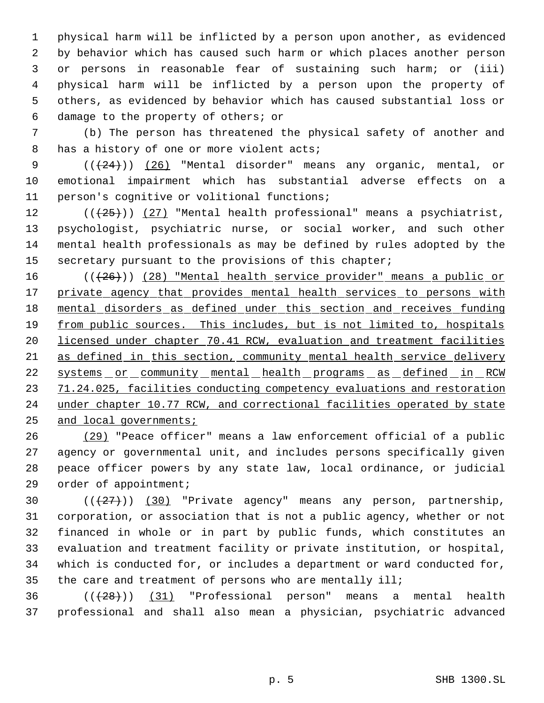physical harm will be inflicted by a person upon another, as evidenced by behavior which has caused such harm or which places another person or persons in reasonable fear of sustaining such harm; or (iii) physical harm will be inflicted by a person upon the property of others, as evidenced by behavior which has caused substantial loss or damage to the property of others; or

 (b) The person has threatened the physical safety of another and 8 has a history of one or more violent acts;

 $((+24))$   $(26)$  "Mental disorder" means any organic, mental, or emotional impairment which has substantial adverse effects on a person's cognitive or volitional functions;

 $((+25))$   $(27)$  "Mental health professional" means a psychiatrist, psychologist, psychiatric nurse, or social worker, and such other mental health professionals as may be defined by rules adopted by the 15 secretary pursuant to the provisions of this chapter;

16 (( $(26)$ )) (28) "Mental health service provider" means a public or 17 private agency that provides mental health services to persons with mental disorders as defined under this section and receives funding 19 from public sources. This includes, but is not limited to, hospitals licensed under chapter 70.41 RCW, evaluation and treatment facilities as defined in this section, community mental health service delivery 22 systems or community mental health programs as defined in RCW 71.24.025, facilities conducting competency evaluations and restoration under chapter 10.77 RCW, and correctional facilities operated by state and local governments;

 (29) "Peace officer" means a law enforcement official of a public agency or governmental unit, and includes persons specifically given peace officer powers by any state law, local ordinance, or judicial order of appointment;

 $((+27))$   $(30)$  "Private agency" means any person, partnership, corporation, or association that is not a public agency, whether or not financed in whole or in part by public funds, which constitutes an evaluation and treatment facility or private institution, or hospital, which is conducted for, or includes a department or ward conducted for, the care and treatment of persons who are mentally ill;

 ( $(\overline{28})$ ) (31) "Professional person" means a mental health professional and shall also mean a physician, psychiatric advanced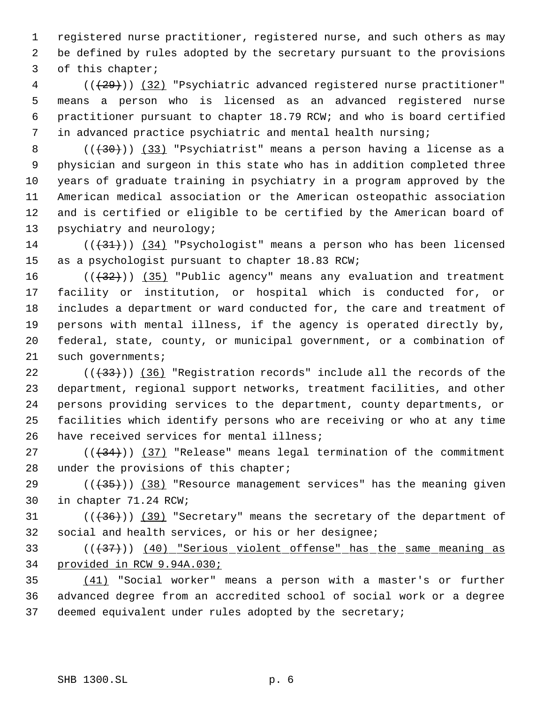registered nurse practitioner, registered nurse, and such others as may be defined by rules adopted by the secretary pursuant to the provisions of this chapter;

4 (( $(29)$ )) (32) "Psychiatric advanced registered nurse practitioner" means a person who is licensed as an advanced registered nurse practitioner pursuant to chapter 18.79 RCW; and who is board certified in advanced practice psychiatric and mental health nursing;

8 ((<del>(30)</del>)) (33) "Psychiatrist" means a person having a license as a physician and surgeon in this state who has in addition completed three years of graduate training in psychiatry in a program approved by the American medical association or the American osteopathic association and is certified or eligible to be certified by the American board of psychiatry and neurology;

 ( $(\overline{31})$ ) (34) "Psychologist" means a person who has been licensed as a psychologist pursuant to chapter 18.83 RCW;

 $((32))$   $(35)$  "Public agency" means any evaluation and treatment facility or institution, or hospital which is conducted for, or includes a department or ward conducted for, the care and treatment of persons with mental illness, if the agency is operated directly by, federal, state, county, or municipal government, or a combination of 21 such governments;

 ( $(\frac{33}{})$ ) (36) "Registration records" include all the records of the department, regional support networks, treatment facilities, and other persons providing services to the department, county departments, or facilities which identify persons who are receiving or who at any time have received services for mental illness;

 $((34))$   $(37)$  "Release" means legal termination of the commitment under the provisions of this chapter;

29  $((+35))$   $(38)$  "Resource management services" has the meaning given in chapter 71.24 RCW;

31  $((+36))$  (39) "Secretary" means the secretary of the department of social and health services, or his or her designee;

 (((37))) (40) "Serious violent offense" has the same meaning as provided in RCW 9.94A.030;

 (41) "Social worker" means a person with a master's or further advanced degree from an accredited school of social work or a degree deemed equivalent under rules adopted by the secretary;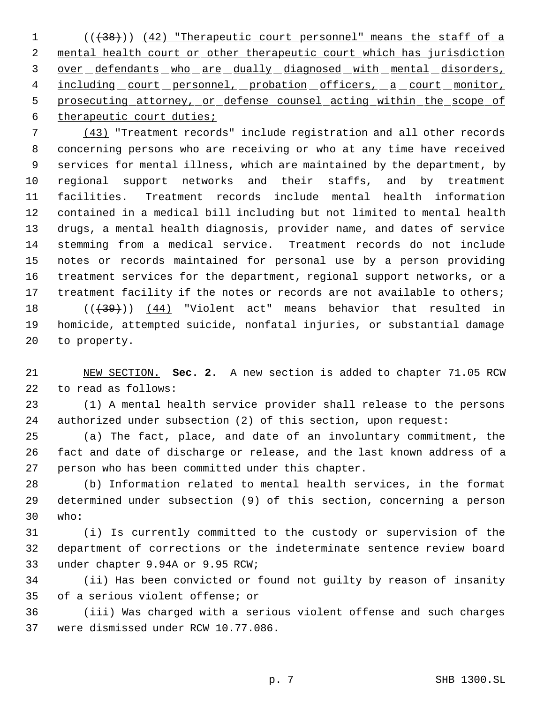1 (( $\{38\}$ )) (42) "Therapeutic court personnel" means the staff of a mental health court or other therapeutic court which has jurisdiction over defendants who are dually diagnosed with mental disorders, 4 including court personnel, probation officers, a court monitor, 5 prosecuting attorney, or defense counsel acting within the scope of 6 therapeutic court duties;

 (43) "Treatment records" include registration and all other records concerning persons who are receiving or who at any time have received services for mental illness, which are maintained by the department, by regional support networks and their staffs, and by treatment facilities. Treatment records include mental health information contained in a medical bill including but not limited to mental health drugs, a mental health diagnosis, provider name, and dates of service stemming from a medical service. Treatment records do not include notes or records maintained for personal use by a person providing treatment services for the department, regional support networks, or a 17 treatment facility if the notes or records are not available to others;  $((+39))$   $(44)$  "Violent act" means behavior that resulted in homicide, attempted suicide, nonfatal injuries, or substantial damage

 NEW SECTION. **Sec. 2.** A new section is added to chapter 71.05 RCW to read as follows:

to property.

 (1) A mental health service provider shall release to the persons authorized under subsection (2) of this section, upon request:

 (a) The fact, place, and date of an involuntary commitment, the fact and date of discharge or release, and the last known address of a person who has been committed under this chapter.

 (b) Information related to mental health services, in the format determined under subsection (9) of this section, concerning a person who:

 (i) Is currently committed to the custody or supervision of the department of corrections or the indeterminate sentence review board under chapter 9.94A or 9.95 RCW;

 (ii) Has been convicted or found not guilty by reason of insanity of a serious violent offense; or

 (iii) Was charged with a serious violent offense and such charges were dismissed under RCW 10.77.086.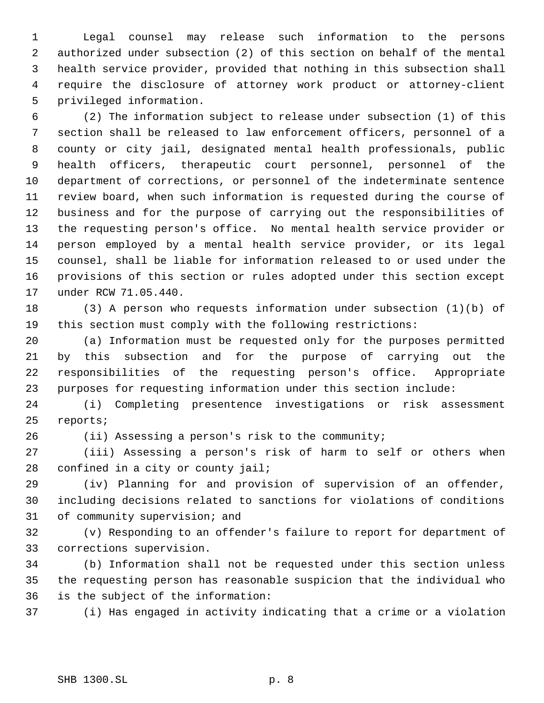Legal counsel may release such information to the persons authorized under subsection (2) of this section on behalf of the mental health service provider, provided that nothing in this subsection shall require the disclosure of attorney work product or attorney-client privileged information.

 (2) The information subject to release under subsection (1) of this section shall be released to law enforcement officers, personnel of a county or city jail, designated mental health professionals, public health officers, therapeutic court personnel, personnel of the department of corrections, or personnel of the indeterminate sentence review board, when such information is requested during the course of business and for the purpose of carrying out the responsibilities of the requesting person's office. No mental health service provider or person employed by a mental health service provider, or its legal counsel, shall be liable for information released to or used under the provisions of this section or rules adopted under this section except under RCW 71.05.440.

 (3) A person who requests information under subsection (1)(b) of this section must comply with the following restrictions:

 (a) Information must be requested only for the purposes permitted by this subsection and for the purpose of carrying out the responsibilities of the requesting person's office. Appropriate purposes for requesting information under this section include:

 (i) Completing presentence investigations or risk assessment reports;

(ii) Assessing a person's risk to the community;

 (iii) Assessing a person's risk of harm to self or others when 28 confined in a city or county jail;

 (iv) Planning for and provision of supervision of an offender, including decisions related to sanctions for violations of conditions of community supervision; and

 (v) Responding to an offender's failure to report for department of corrections supervision.

 (b) Information shall not be requested under this section unless the requesting person has reasonable suspicion that the individual who is the subject of the information:

(i) Has engaged in activity indicating that a crime or a violation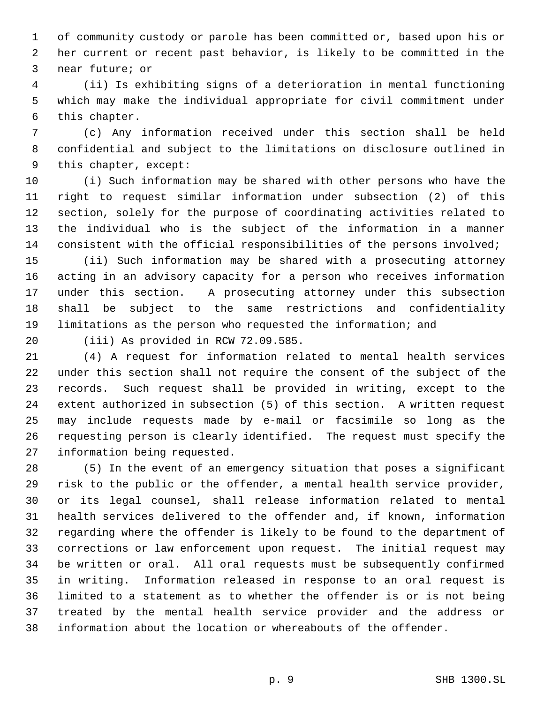of community custody or parole has been committed or, based upon his or her current or recent past behavior, is likely to be committed in the near future; or

 (ii) Is exhibiting signs of a deterioration in mental functioning which may make the individual appropriate for civil commitment under this chapter.

 (c) Any information received under this section shall be held confidential and subject to the limitations on disclosure outlined in this chapter, except:

 (i) Such information may be shared with other persons who have the right to request similar information under subsection (2) of this section, solely for the purpose of coordinating activities related to the individual who is the subject of the information in a manner consistent with the official responsibilities of the persons involved;

 (ii) Such information may be shared with a prosecuting attorney acting in an advisory capacity for a person who receives information under this section. A prosecuting attorney under this subsection shall be subject to the same restrictions and confidentiality limitations as the person who requested the information; and

(iii) As provided in RCW 72.09.585.

 (4) A request for information related to mental health services under this section shall not require the consent of the subject of the records. Such request shall be provided in writing, except to the extent authorized in subsection (5) of this section. A written request may include requests made by e-mail or facsimile so long as the requesting person is clearly identified. The request must specify the information being requested.

 (5) In the event of an emergency situation that poses a significant risk to the public or the offender, a mental health service provider, or its legal counsel, shall release information related to mental health services delivered to the offender and, if known, information regarding where the offender is likely to be found to the department of corrections or law enforcement upon request. The initial request may be written or oral. All oral requests must be subsequently confirmed in writing. Information released in response to an oral request is limited to a statement as to whether the offender is or is not being treated by the mental health service provider and the address or information about the location or whereabouts of the offender.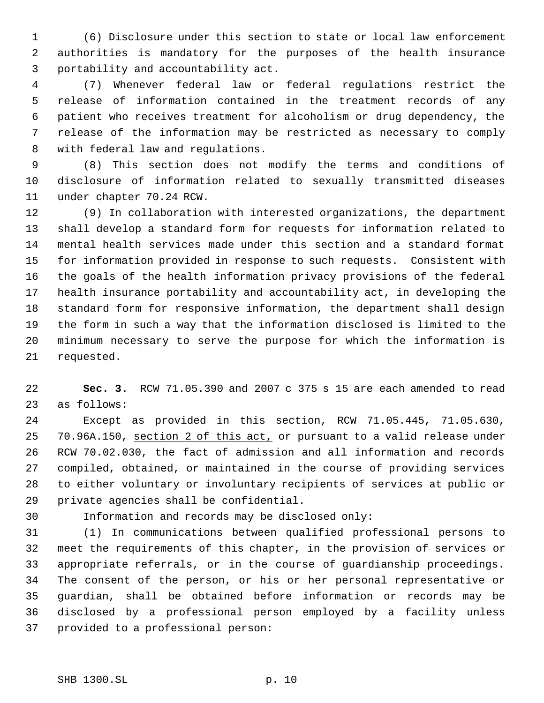(6) Disclosure under this section to state or local law enforcement authorities is mandatory for the purposes of the health insurance portability and accountability act.

 (7) Whenever federal law or federal regulations restrict the release of information contained in the treatment records of any patient who receives treatment for alcoholism or drug dependency, the release of the information may be restricted as necessary to comply with federal law and regulations.

 (8) This section does not modify the terms and conditions of disclosure of information related to sexually transmitted diseases under chapter 70.24 RCW.

 (9) In collaboration with interested organizations, the department shall develop a standard form for requests for information related to mental health services made under this section and a standard format for information provided in response to such requests. Consistent with the goals of the health information privacy provisions of the federal health insurance portability and accountability act, in developing the standard form for responsive information, the department shall design the form in such a way that the information disclosed is limited to the minimum necessary to serve the purpose for which the information is requested.

 **Sec. 3.** RCW 71.05.390 and 2007 c 375 s 15 are each amended to read as follows:

 Except as provided in this section, RCW 71.05.445, 71.05.630, 25 70.96A.150, section 2 of this act, or pursuant to a valid release under RCW 70.02.030, the fact of admission and all information and records compiled, obtained, or maintained in the course of providing services to either voluntary or involuntary recipients of services at public or private agencies shall be confidential.

Information and records may be disclosed only:

 (1) In communications between qualified professional persons to meet the requirements of this chapter, in the provision of services or appropriate referrals, or in the course of guardianship proceedings. The consent of the person, or his or her personal representative or guardian, shall be obtained before information or records may be disclosed by a professional person employed by a facility unless provided to a professional person: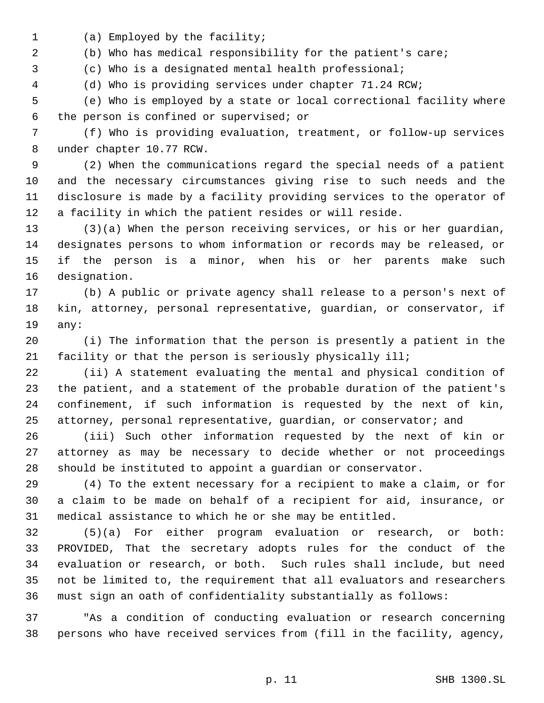(a) Employed by the facility;

(b) Who has medical responsibility for the patient's care;

(c) Who is a designated mental health professional;

(d) Who is providing services under chapter 71.24 RCW;

 (e) Who is employed by a state or local correctional facility where the person is confined or supervised; or

 (f) Who is providing evaluation, treatment, or follow-up services under chapter 10.77 RCW.

 (2) When the communications regard the special needs of a patient and the necessary circumstances giving rise to such needs and the disclosure is made by a facility providing services to the operator of a facility in which the patient resides or will reside.

 (3)(a) When the person receiving services, or his or her guardian, designates persons to whom information or records may be released, or if the person is a minor, when his or her parents make such designation.

 (b) A public or private agency shall release to a person's next of kin, attorney, personal representative, guardian, or conservator, if any:

 (i) The information that the person is presently a patient in the facility or that the person is seriously physically ill;

 (ii) A statement evaluating the mental and physical condition of the patient, and a statement of the probable duration of the patient's confinement, if such information is requested by the next of kin, attorney, personal representative, guardian, or conservator; and

 (iii) Such other information requested by the next of kin or attorney as may be necessary to decide whether or not proceedings should be instituted to appoint a guardian or conservator.

 (4) To the extent necessary for a recipient to make a claim, or for a claim to be made on behalf of a recipient for aid, insurance, or medical assistance to which he or she may be entitled.

 (5)(a) For either program evaluation or research, or both: PROVIDED, That the secretary adopts rules for the conduct of the evaluation or research, or both. Such rules shall include, but need not be limited to, the requirement that all evaluators and researchers must sign an oath of confidentiality substantially as follows:

 "As a condition of conducting evaluation or research concerning persons who have received services from (fill in the facility, agency,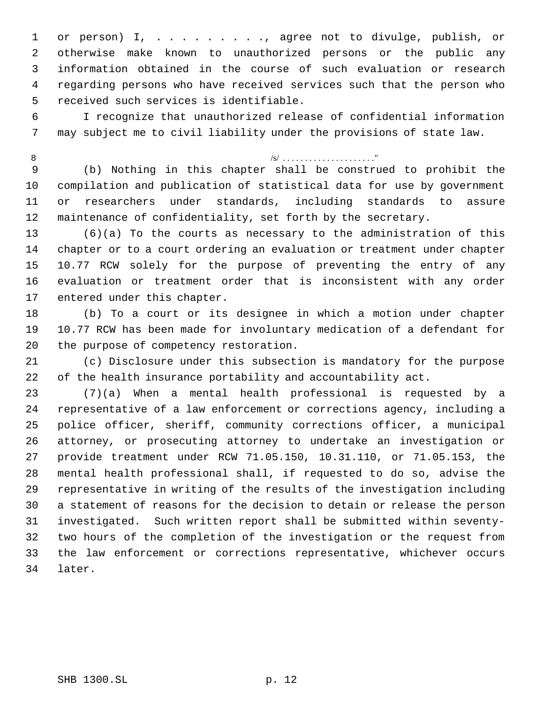or person) I, . . . . . . . . ., agree not to divulge, publish, or otherwise make known to unauthorized persons or the public any information obtained in the course of such evaluation or research regarding persons who have received services such that the person who received such services is identifiable.

 I recognize that unauthorized release of confidential information may subject me to civil liability under the provisions of state law.

# /s/ . . . . . . . . . . . . . . . . . . . . ."

 (b) Nothing in this chapter shall be construed to prohibit the compilation and publication of statistical data for use by government or researchers under standards, including standards to assure maintenance of confidentiality, set forth by the secretary.

 (6)(a) To the courts as necessary to the administration of this chapter or to a court ordering an evaluation or treatment under chapter 10.77 RCW solely for the purpose of preventing the entry of any evaluation or treatment order that is inconsistent with any order entered under this chapter.

 (b) To a court or its designee in which a motion under chapter 10.77 RCW has been made for involuntary medication of a defendant for the purpose of competency restoration.

 (c) Disclosure under this subsection is mandatory for the purpose of the health insurance portability and accountability act.

 (7)(a) When a mental health professional is requested by a representative of a law enforcement or corrections agency, including a police officer, sheriff, community corrections officer, a municipal attorney, or prosecuting attorney to undertake an investigation or provide treatment under RCW 71.05.150, 10.31.110, or 71.05.153, the mental health professional shall, if requested to do so, advise the representative in writing of the results of the investigation including a statement of reasons for the decision to detain or release the person investigated. Such written report shall be submitted within seventy- two hours of the completion of the investigation or the request from the law enforcement or corrections representative, whichever occurs later.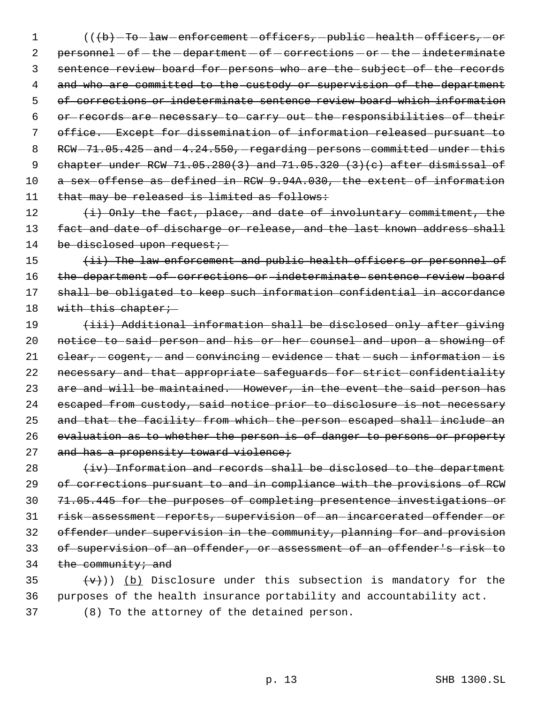1 (((b) -To law enforcement -officers, -public -health -officers, -or 2 personnel - of - the -department - of - corrections - or - the - indeterminate 3 sentence review board for persons who are the subject of the records 4 and who are committed to the custody or supervision of the department 5 of corrections or indeterminate sentence review board which information 6 or records are necessary to carry out the responsibilities of their 7 office. Except for dissemination of information released pursuant to 8 RCW-71.05.425 - and -4.24.550, - regarding - persons - committed - under - this 9 chapter under RCW 71.05.280(3) and 71.05.320 (3)(c) after dismissal of 10 a sex offense as defined in RCW 9.94A.030, the extent of information 11 that may be released is limited as follows:

12 (i) Only the fact, place, and date of involuntary commitment, the 13 fact and date of discharge or release, and the last known address shall 14 be disclosed upon request;

15 (ii) The law enforcement and public health officers or personnel of 16 the department of corrections or indeterminate sentence review board 17 shall be obligated to keep such information confidential in accordance 18 with this chapter;

19 (iii) Additional information shall be disclosed only after giving 20 notice to said person and his or her counsel and upon a showing of 21  $elear, -cogent, -and - convincing - evidence - that - such-information - is$ 22 necessary and that appropriate safeguards for strict confidentiality 23 are and will be maintained. However, in the event the said person has 24 escaped from custody, said notice prior to disclosure is not necessary 25 and that the facility from which the person escaped shall include an 26 evaluation as to whether the person is of danger to persons or property 27 and has a propensity toward violence;

  $\leftarrow$   $\leftarrow$  Information and records shall be disclosed to the department of corrections pursuant to and in compliance with the provisions of RCW 71.05.445 for the purposes of completing presentence investigations or 31 risk assessment reports, supervision of an incarcerated offender or offender under supervision in the community, planning for and provision of supervision of an offender, or assessment of an offender's risk to the community; and

35  $(v+))$  (b) Disclosure under this subsection is mandatory for the 36 purposes of the health insurance portability and accountability act. 37 (8) To the attorney of the detained person.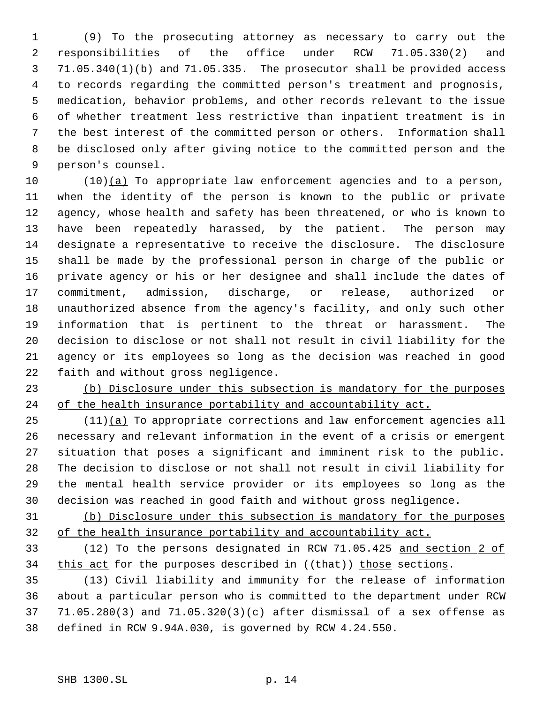(9) To the prosecuting attorney as necessary to carry out the responsibilities of the office under RCW 71.05.330(2) and 71.05.340(1)(b) and 71.05.335. The prosecutor shall be provided access to records regarding the committed person's treatment and prognosis, medication, behavior problems, and other records relevant to the issue of whether treatment less restrictive than inpatient treatment is in the best interest of the committed person or others. Information shall be disclosed only after giving notice to the committed person and the person's counsel.

 (10)(a) To appropriate law enforcement agencies and to a person, when the identity of the person is known to the public or private agency, whose health and safety has been threatened, or who is known to have been repeatedly harassed, by the patient. The person may designate a representative to receive the disclosure. The disclosure shall be made by the professional person in charge of the public or private agency or his or her designee and shall include the dates of commitment, admission, discharge, or release, authorized or unauthorized absence from the agency's facility, and only such other information that is pertinent to the threat or harassment. The decision to disclose or not shall not result in civil liability for the agency or its employees so long as the decision was reached in good faith and without gross negligence.

 (b) Disclosure under this subsection is mandatory for the purposes 24 of the health insurance portability and accountability act.

 (11)(a) To appropriate corrections and law enforcement agencies all necessary and relevant information in the event of a crisis or emergent situation that poses a significant and imminent risk to the public. The decision to disclose or not shall not result in civil liability for the mental health service provider or its employees so long as the decision was reached in good faith and without gross negligence.

 (b) Disclosure under this subsection is mandatory for the purposes of the health insurance portability and accountability act.

 (12) To the persons designated in RCW 71.05.425 and section 2 of 34 this act for the purposes described in ((that)) those sections.

 (13) Civil liability and immunity for the release of information about a particular person who is committed to the department under RCW 71.05.280(3) and 71.05.320(3)(c) after dismissal of a sex offense as defined in RCW 9.94A.030, is governed by RCW 4.24.550.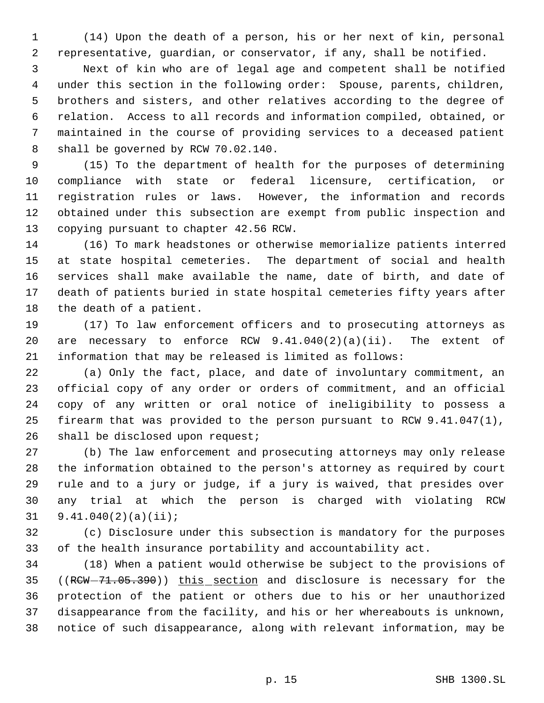(14) Upon the death of a person, his or her next of kin, personal representative, guardian, or conservator, if any, shall be notified.

 Next of kin who are of legal age and competent shall be notified under this section in the following order: Spouse, parents, children, brothers and sisters, and other relatives according to the degree of relation. Access to all records and information compiled, obtained, or maintained in the course of providing services to a deceased patient shall be governed by RCW 70.02.140.

 (15) To the department of health for the purposes of determining compliance with state or federal licensure, certification, or registration rules or laws. However, the information and records obtained under this subsection are exempt from public inspection and copying pursuant to chapter 42.56 RCW.

 (16) To mark headstones or otherwise memorialize patients interred at state hospital cemeteries. The department of social and health services shall make available the name, date of birth, and date of death of patients buried in state hospital cemeteries fifty years after the death of a patient.

 (17) To law enforcement officers and to prosecuting attorneys as 20 are necessary to enforce RCW  $9.41.040(2)(a)(ii)$ . The extent of information that may be released is limited as follows:

 (a) Only the fact, place, and date of involuntary commitment, an official copy of any order or orders of commitment, and an official copy of any written or oral notice of ineligibility to possess a firearm that was provided to the person pursuant to RCW 9.41.047(1), 26 shall be disclosed upon request;

 (b) The law enforcement and prosecuting attorneys may only release the information obtained to the person's attorney as required by court rule and to a jury or judge, if a jury is waived, that presides over any trial at which the person is charged with violating RCW 9.41.040(2)(a)(ii);

 (c) Disclosure under this subsection is mandatory for the purposes of the health insurance portability and accountability act.

 (18) When a patient would otherwise be subject to the provisions of 35 ((RCW-71.05.390)) this section and disclosure is necessary for the protection of the patient or others due to his or her unauthorized disappearance from the facility, and his or her whereabouts is unknown, notice of such disappearance, along with relevant information, may be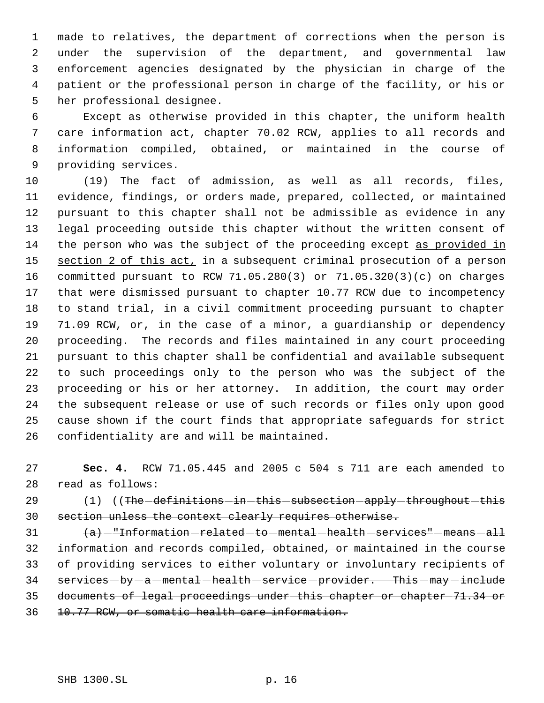made to relatives, the department of corrections when the person is under the supervision of the department, and governmental law enforcement agencies designated by the physician in charge of the patient or the professional person in charge of the facility, or his or her professional designee.

 Except as otherwise provided in this chapter, the uniform health care information act, chapter 70.02 RCW, applies to all records and information compiled, obtained, or maintained in the course of providing services.

 (19) The fact of admission, as well as all records, files, evidence, findings, or orders made, prepared, collected, or maintained pursuant to this chapter shall not be admissible as evidence in any legal proceeding outside this chapter without the written consent of the person who was the subject of the proceeding except as provided in 15 section 2 of this act, in a subsequent criminal prosecution of a person committed pursuant to RCW 71.05.280(3) or 71.05.320(3)(c) on charges that were dismissed pursuant to chapter 10.77 RCW due to incompetency to stand trial, in a civil commitment proceeding pursuant to chapter 71.09 RCW, or, in the case of a minor, a guardianship or dependency proceeding. The records and files maintained in any court proceeding pursuant to this chapter shall be confidential and available subsequent to such proceedings only to the person who was the subject of the proceeding or his or her attorney. In addition, the court may order the subsequent release or use of such records or files only upon good cause shown if the court finds that appropriate safeguards for strict confidentiality are and will be maintained.

 **Sec. 4.** RCW 71.05.445 and 2005 c 504 s 711 are each amended to read as follows:

29 (1) ((The definitions - in this - subsection - apply - throughout - this 30 section unless the context clearly requires otherwise.

 $\{a\}$  -"Information related -to -mental -health services" -means -all information and records compiled, obtained, or maintained in the course of providing services to either voluntary or involuntary recipients of 34 services-by-a-mental-health-service-provider. This-may-include documents of legal proceedings under this chapter or chapter 71.34 or 10.77 RCW, or somatic health care information.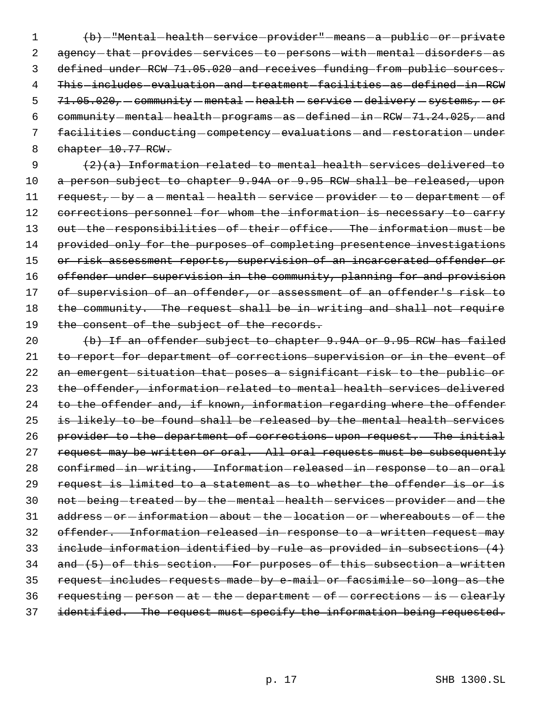1 (b) - "Mental health service provider" - means - a - public - or - private 2 agency-that-provides-services-to-persons-with-mental-disorders-as 3 defined under RCW 71.05.020 and receives funding from public sources. 4 This-includes-evaluation-and-treatment-facilities-as-defined-in-RCW  $5$   $71.05.020$ , community - mental - health - service - delivery - systems, - or 6 community - mental - health - programs - as - defined - in - RCW - 71.24.025, - and 7 facilities - conducting - competency - evaluations - and - restoration - under 8 chapter 10.77 RCW.

9  $(2)(a)$  Information related to mental health services delivered to 10 a person subject to chapter 9.94A or 9.95 RCW shall be released, upon 11 request, -by - a - mental - health - service - provider - to - department - of 12 corrections personnel for whom the information is necessary to carry 13 out-the-responsibilities-of-their-office. The-information-must-be 14 provided only for the purposes of completing presentence investigations 15 or risk assessment reports, supervision of an incarcerated offender or 16 offender under supervision in the community, planning for and provision 17 of supervision of an offender, or assessment of an offender's risk to 18 the community. The request shall be in writing and shall not require 19 the consent of the subject of the records.

20 (b) If an offender subject to chapter 9.94A or 9.95 RCW has failed 21 to report for department of corrections supervision or in the event of 22 an emergent situation that poses a significant risk to the public or 23 the offender, information related to mental health services delivered 24 to the offender and, if known, information regarding where the offender 25 is likely to be found shall be released by the mental health services 26 provider to the department of corrections upon request. The initial 27 request may be written or oral. All oral requests must be subsequently 28 confirmed-in-writing. Information-released-in-response-to-an-oral 29 request is limited to a statement as to whether the offender is or is 30 not -being -treated -by -the -mental -health -services -provider -and -the  $31$  address  $-$  or  $-$  information  $-$  about  $-$  the  $-$  location  $-$  or  $-$  whereabouts  $-$  of  $-$  the 32 offender. Information released in response to a written request may 33 include information identified by rule as provided in subsections (4) 34 and (5) of this section. For purposes of this subsection a written 35 request includes requests made by e-mail or facsimile so long as the 36 requesting - person - at - the - department - of - corrections - is - clearly 37 identified. The request must specify the information being requested.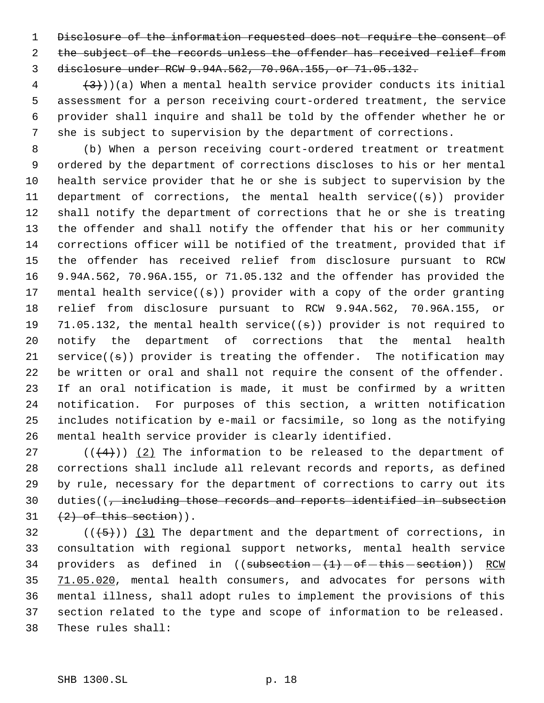1 Disclosure of the information requested does not require the consent of 2 the subject of the records unless the offender has received relief from disclosure under RCW 9.94A.562, 70.96A.155, or 71.05.132.

 $\{3\}$ ))(a) When a mental health service provider conducts its initial assessment for a person receiving court-ordered treatment, the service provider shall inquire and shall be told by the offender whether he or she is subject to supervision by the department of corrections.

 (b) When a person receiving court-ordered treatment or treatment ordered by the department of corrections discloses to his or her mental health service provider that he or she is subject to supervision by the 11 department of corrections, the mental health service( $(s)$ ) provider shall notify the department of corrections that he or she is treating the offender and shall notify the offender that his or her community corrections officer will be notified of the treatment, provided that if the offender has received relief from disclosure pursuant to RCW 9.94A.562, 70.96A.155, or 71.05.132 and the offender has provided the 17 mental health service( $(s)$ ) provider with a copy of the order granting relief from disclosure pursuant to RCW 9.94A.562, 70.96A.155, or 19 71.05.132, the mental health service( $(\pm)$ ) provider is not required to notify the department of corrections that the mental health service((s)) provider is treating the offender. The notification may be written or oral and shall not require the consent of the offender. If an oral notification is made, it must be confirmed by a written notification. For purposes of this section, a written notification includes notification by e-mail or facsimile, so long as the notifying mental health service provider is clearly identified.

27 ( $(\langle 4 \rangle)$ ) (2) The information to be released to the department of corrections shall include all relevant records and reports, as defined by rule, necessary for the department of corrections to carry out its 30 duties(( $\frac{1}{7}$  including those records and reports identified in subsection  $31 \quad (2)$  of this section)).

 $((+5))$   $(3)$  The department and the department of corrections, in consultation with regional support networks, mental health service 34 providers as defined in  $((subsection - (1) - of - this - section))$  RCW 35 71.05.020, mental health consumers, and advocates for persons with mental illness, shall adopt rules to implement the provisions of this section related to the type and scope of information to be released. These rules shall: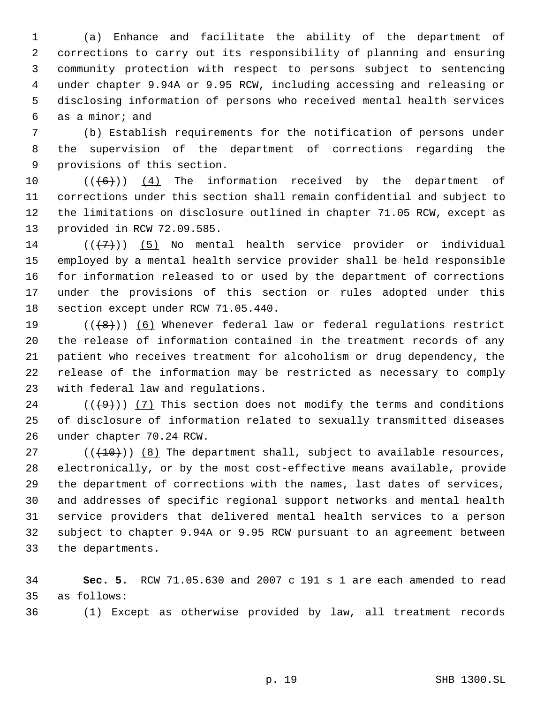(a) Enhance and facilitate the ability of the department of corrections to carry out its responsibility of planning and ensuring community protection with respect to persons subject to sentencing under chapter 9.94A or 9.95 RCW, including accessing and releasing or disclosing information of persons who received mental health services as a minor; and

 (b) Establish requirements for the notification of persons under the supervision of the department of corrections regarding the provisions of this section.

 $((\lbrace 6 \rbrace))$  (4) The information received by the department of corrections under this section shall remain confidential and subject to the limitations on disclosure outlined in chapter 71.05 RCW, except as provided in RCW 72.09.585.

 $((\langle 7 \rangle) )$  (5) No mental health service provider or individual employed by a mental health service provider shall be held responsible for information released to or used by the department of corrections under the provisions of this section or rules adopted under this section except under RCW 71.05.440.

19 ( $(\{8\})$ ) (6) Whenever federal law or federal regulations restrict the release of information contained in the treatment records of any patient who receives treatment for alcoholism or drug dependency, the release of the information may be restricted as necessary to comply with federal law and regulations.

24  $((+9))$  (7) This section does not modify the terms and conditions of disclosure of information related to sexually transmitted diseases under chapter 70.24 RCW.

 $((+10))$  (8) The department shall, subject to available resources, electronically, or by the most cost-effective means available, provide the department of corrections with the names, last dates of services, and addresses of specific regional support networks and mental health service providers that delivered mental health services to a person subject to chapter 9.94A or 9.95 RCW pursuant to an agreement between the departments.

 **Sec. 5.** RCW 71.05.630 and 2007 c 191 s 1 are each amended to read as follows:

(1) Except as otherwise provided by law, all treatment records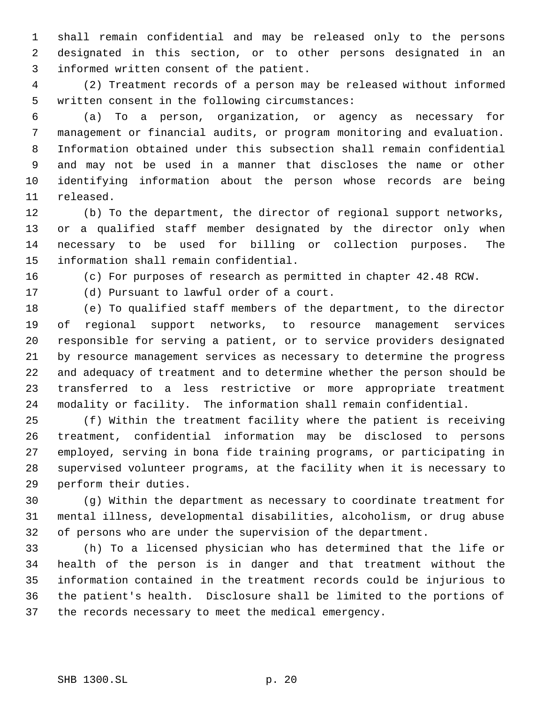shall remain confidential and may be released only to the persons designated in this section, or to other persons designated in an informed written consent of the patient.

 (2) Treatment records of a person may be released without informed written consent in the following circumstances:

 (a) To a person, organization, or agency as necessary for management or financial audits, or program monitoring and evaluation. Information obtained under this subsection shall remain confidential and may not be used in a manner that discloses the name or other identifying information about the person whose records are being released.

 (b) To the department, the director of regional support networks, or a qualified staff member designated by the director only when necessary to be used for billing or collection purposes. The information shall remain confidential.

(c) For purposes of research as permitted in chapter 42.48 RCW.

(d) Pursuant to lawful order of a court.

 (e) To qualified staff members of the department, to the director of regional support networks, to resource management services responsible for serving a patient, or to service providers designated by resource management services as necessary to determine the progress and adequacy of treatment and to determine whether the person should be transferred to a less restrictive or more appropriate treatment modality or facility. The information shall remain confidential.

 (f) Within the treatment facility where the patient is receiving treatment, confidential information may be disclosed to persons employed, serving in bona fide training programs, or participating in supervised volunteer programs, at the facility when it is necessary to perform their duties.

 (g) Within the department as necessary to coordinate treatment for mental illness, developmental disabilities, alcoholism, or drug abuse of persons who are under the supervision of the department.

 (h) To a licensed physician who has determined that the life or health of the person is in danger and that treatment without the information contained in the treatment records could be injurious to the patient's health. Disclosure shall be limited to the portions of the records necessary to meet the medical emergency.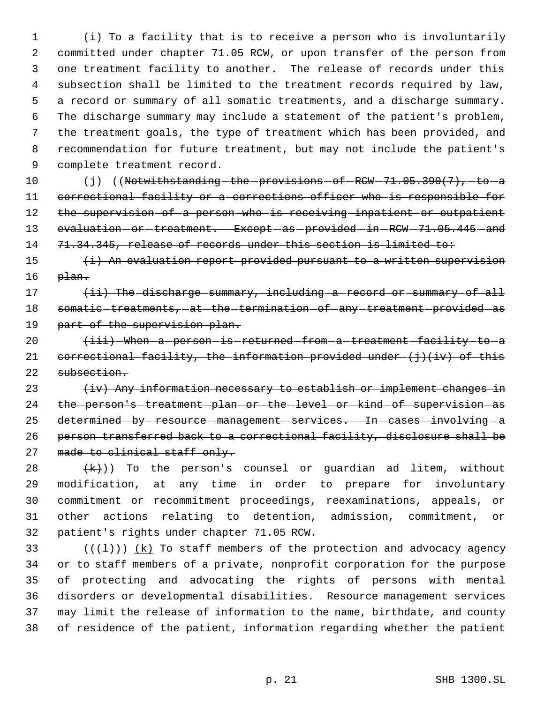(i) To a facility that is to receive a person who is involuntarily committed under chapter 71.05 RCW, or upon transfer of the person from one treatment facility to another. The release of records under this subsection shall be limited to the treatment records required by law, a record or summary of all somatic treatments, and a discharge summary. The discharge summary may include a statement of the patient's problem, the treatment goals, the type of treatment which has been provided, and recommendation for future treatment, but may not include the patient's complete treatment record.

10 (j) ((Notwithstanding the provisions of RCW -71.05.390(7), to a 11 correctional facility or a corrections officer who is responsible for 12 the supervision of a person who is receiving inpatient or outpatient 13 evaluation-or-treatment. Except-as-provided-in-RCW-71.05.445-and 14 71.34.345, release of records under this section is limited to:

15 (i) An evaluation report provided pursuant to a written supervision  $16$   $pi.$ 

17 (ii) The discharge summary, including a record or summary of all 18 somatic treatments, at the termination of any treatment provided as 19 part of the supervision plan.

20  $\leftarrow$   $\leftarrow$   $\leftarrow$  When a person is returned from a treatment facility to a 21 correctional facility, the information provided under  $(j)$  (iv) of this 22 subsection.

23  $\{iv\}$  Any information necessary to establish or implement changes in 24 the person's treatment plan or the level or kind of supervision as 25 determined-by-resource-management-services. In-cases-involving-a 26 person transferred back to a correctional facility, disclosure shall be 27 made to clinical staff only.

 $(\kappa)$ ) To the person's counsel or guardian ad litem, without modification, at any time in order to prepare for involuntary commitment or recommitment proceedings, reexaminations, appeals, or other actions relating to detention, admission, commitment, or patient's rights under chapter 71.05 RCW.

33 ( $(\overline{+1})$ )  $(k)$  To staff members of the protection and advocacy agency or to staff members of a private, nonprofit corporation for the purpose of protecting and advocating the rights of persons with mental disorders or developmental disabilities. Resource management services may limit the release of information to the name, birthdate, and county of residence of the patient, information regarding whether the patient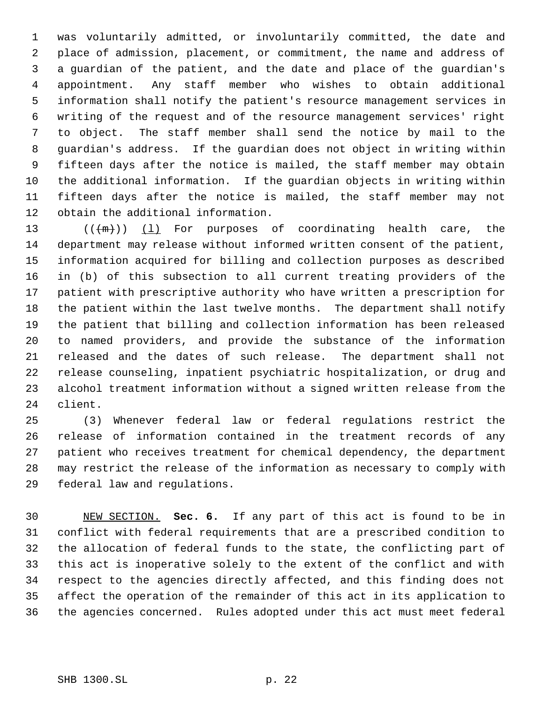was voluntarily admitted, or involuntarily committed, the date and place of admission, placement, or commitment, the name and address of a guardian of the patient, and the date and place of the guardian's appointment. Any staff member who wishes to obtain additional information shall notify the patient's resource management services in writing of the request and of the resource management services' right to object. The staff member shall send the notice by mail to the guardian's address. If the guardian does not object in writing within fifteen days after the notice is mailed, the staff member may obtain the additional information. If the guardian objects in writing within fifteen days after the notice is mailed, the staff member may not obtain the additional information.

 $((+m))$   $(1)$  For purposes of coordinating health care, the department may release without informed written consent of the patient, information acquired for billing and collection purposes as described in (b) of this subsection to all current treating providers of the patient with prescriptive authority who have written a prescription for the patient within the last twelve months. The department shall notify the patient that billing and collection information has been released to named providers, and provide the substance of the information released and the dates of such release. The department shall not release counseling, inpatient psychiatric hospitalization, or drug and alcohol treatment information without a signed written release from the client.

 (3) Whenever federal law or federal regulations restrict the release of information contained in the treatment records of any patient who receives treatment for chemical dependency, the department may restrict the release of the information as necessary to comply with federal law and regulations.

 NEW SECTION. **Sec. 6.** If any part of this act is found to be in conflict with federal requirements that are a prescribed condition to the allocation of federal funds to the state, the conflicting part of this act is inoperative solely to the extent of the conflict and with respect to the agencies directly affected, and this finding does not affect the operation of the remainder of this act in its application to the agencies concerned. Rules adopted under this act must meet federal